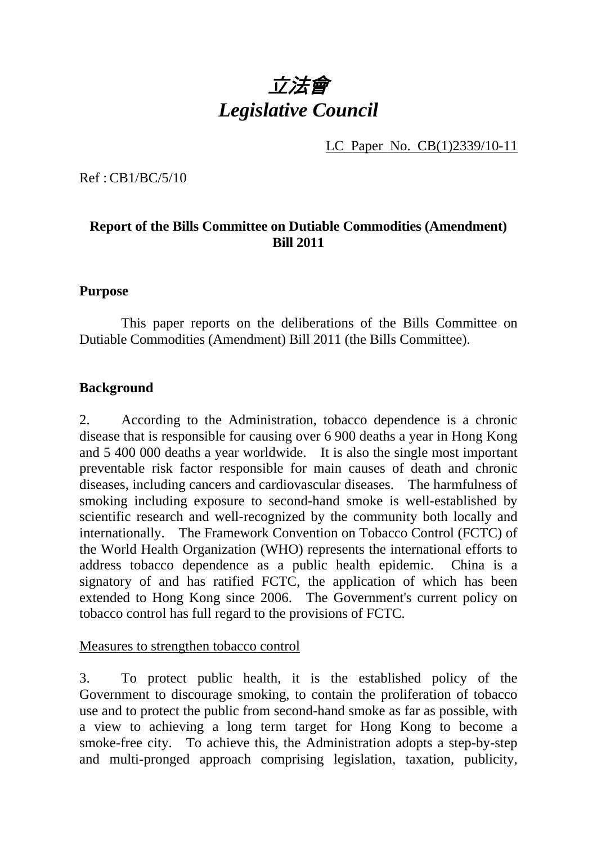# 立法會 *Legislative Council*

LC Paper No. CB(1)2339/10-11

Ref : CB1/BC/5/10

# **Report of the Bills Committee on Dutiable Commodities (Amendment) Bill 2011**

#### **Purpose**

 This paper reports on the deliberations of the Bills Committee on Dutiable Commodities (Amendment) Bill 2011 (the Bills Committee).

#### **Background**

2. According to the Administration, tobacco dependence is a chronic disease that is responsible for causing over 6 900 deaths a year in Hong Kong and 5 400 000 deaths a year worldwide. It is also the single most important preventable risk factor responsible for main causes of death and chronic diseases, including cancers and cardiovascular diseases. The harmfulness of smoking including exposure to second-hand smoke is well-established by scientific research and well-recognized by the community both locally and internationally. The Framework Convention on Tobacco Control (FCTC) of the World Health Organization (WHO) represents the international efforts to address tobacco dependence as a public health epidemic. China is a signatory of and has ratified FCTC, the application of which has been extended to Hong Kong since 2006. The Government's current policy on tobacco control has full regard to the provisions of FCTC.

#### Measures to strengthen tobacco control

3. To protect public health, it is the established policy of the Government to discourage smoking, to contain the proliferation of tobacco use and to protect the public from second-hand smoke as far as possible, with a view to achieving a long term target for Hong Kong to become a smoke-free city. To achieve this, the Administration adopts a step-by-step and multi-pronged approach comprising legislation, taxation, publicity,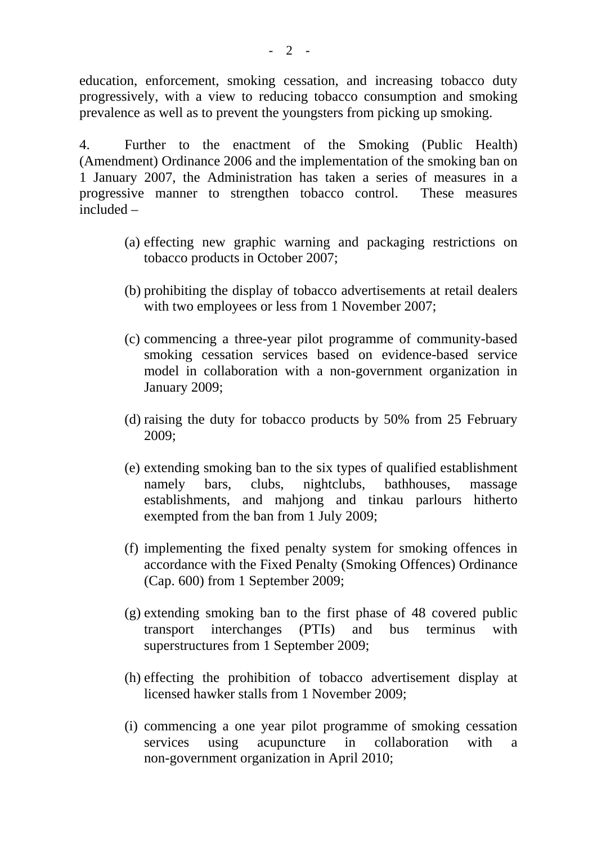education, enforcement, smoking cessation, and increasing tobacco duty progressively, with a view to reducing tobacco consumption and smoking prevalence as well as to prevent the youngsters from picking up smoking.

4. Further to the enactment of the Smoking (Public Health) (Amendment) Ordinance 2006 and the implementation of the smoking ban on 1 January 2007, the Administration has taken a series of measures in a progressive manner to strengthen tobacco control. These measures included –

- (a) effecting new graphic warning and packaging restrictions on tobacco products in October 2007;
- (b) prohibiting the display of tobacco advertisements at retail dealers with two employees or less from 1 November 2007;
- (c) commencing a three-year pilot programme of community-based smoking cessation services based on evidence-based service model in collaboration with a non-government organization in January 2009;
- (d) raising the duty for tobacco products by 50% from 25 February 2009;
- (e) extending smoking ban to the six types of qualified establishment namely bars, clubs, nightclubs, bathhouses, massage establishments, and mahjong and tinkau parlours hitherto exempted from the ban from 1 July 2009;
- (f) implementing the fixed penalty system for smoking offences in accordance with the Fixed Penalty (Smoking Offences) Ordinance (Cap. 600) from 1 September 2009;
- (g) extending smoking ban to the first phase of 48 covered public transport interchanges (PTIs) and bus terminus with superstructures from 1 September 2009;
- (h) effecting the prohibition of tobacco advertisement display at licensed hawker stalls from 1 November 2009;
- (i) commencing a one year pilot programme of smoking cessation services using acupuncture in collaboration with a non-government organization in April 2010;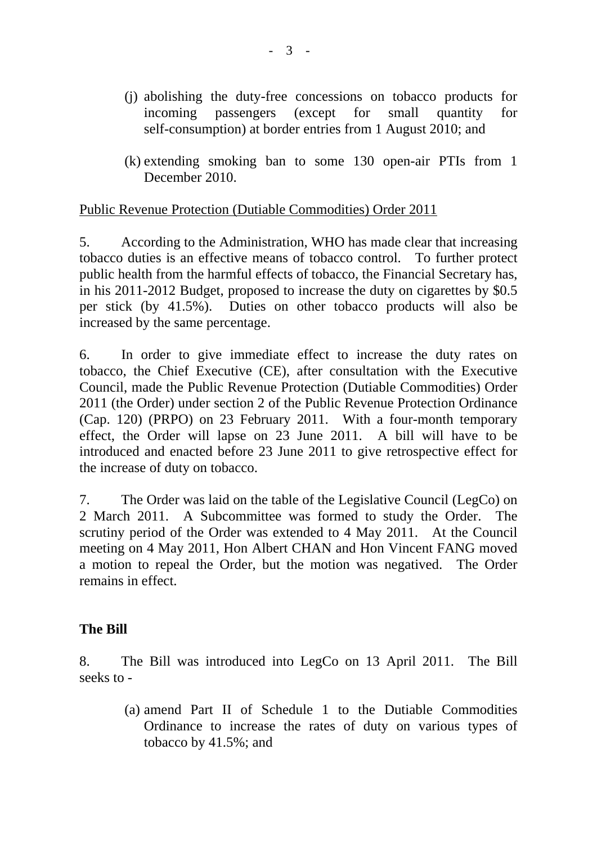- (j) abolishing the duty-free concessions on tobacco products for incoming passengers (except for small quantity for self-consumption) at border entries from 1 August 2010; and
- (k) extending smoking ban to some 130 open-air PTIs from 1 December 2010.

#### Public Revenue Protection (Dutiable Commodities) Order 2011

5. According to the Administration, WHO has made clear that increasing tobacco duties is an effective means of tobacco control. To further protect public health from the harmful effects of tobacco, the Financial Secretary has, in his 2011-2012 Budget, proposed to increase the duty on cigarettes by \$0.5 per stick (by 41.5%). Duties on other tobacco products will also be increased by the same percentage.

6. In order to give immediate effect to increase the duty rates on tobacco, the Chief Executive (CE), after consultation with the Executive Council, made the Public Revenue Protection (Dutiable Commodities) Order 2011 (the Order) under section 2 of the Public Revenue Protection Ordinance (Cap. 120) (PRPO) on 23 February 2011. With a four-month temporary effect, the Order will lapse on 23 June 2011. A bill will have to be introduced and enacted before 23 June 2011 to give retrospective effect for the increase of duty on tobacco.

7. The Order was laid on the table of the Legislative Council (LegCo) on 2 March 2011. A Subcommittee was formed to study the Order. The scrutiny period of the Order was extended to 4 May 2011. At the Council meeting on 4 May 2011, Hon Albert CHAN and Hon Vincent FANG moved a motion to repeal the Order, but the motion was negatived. The Order remains in effect.

#### **The Bill**

8. The Bill was introduced into LegCo on 13 April 2011. The Bill seeks to -

> (a) amend Part II of Schedule 1 to the Dutiable Commodities Ordinance to increase the rates of duty on various types of tobacco by 41.5%; and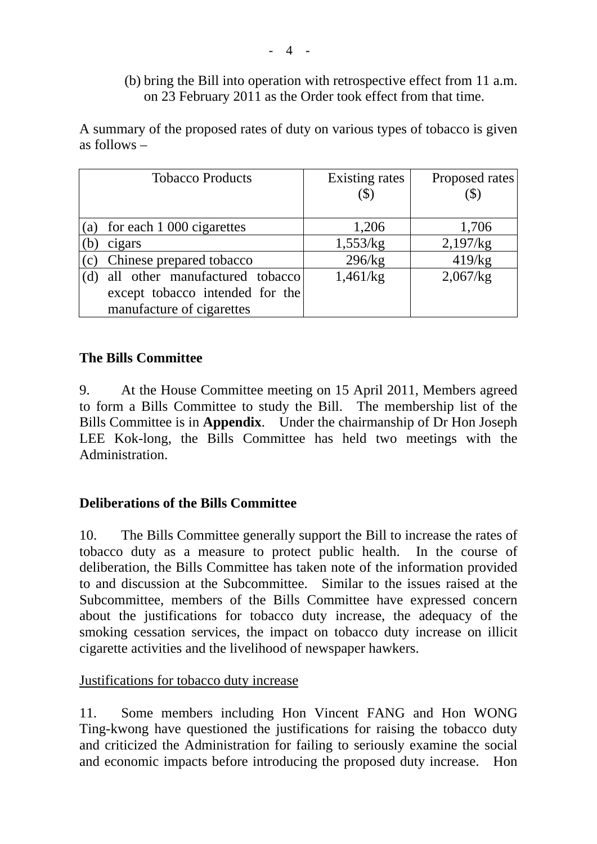# (b) bring the Bill into operation with retrospective effect from 11 a.m. on 23 February 2011 as the Order took effect from that time.

A summary of the proposed rates of duty on various types of tobacco is given as follows –

|     | <b>Tobacco Products</b>         | Existing rates | Proposed rates |
|-----|---------------------------------|----------------|----------------|
|     |                                 |                |                |
|     |                                 |                |                |
| (a) | for each 1 000 cigarettes       | 1,206          | 1,706          |
| (b  | cigars                          | 1,553/kg       | 2,197/kg       |
| (c) | Chinese prepared tobacco        | 296/kg         | 419/kg         |
|     | all other manufactured tobacco  | 1,461/kg       | 2,067/kg       |
|     | except tobacco intended for the |                |                |
|     | manufacture of cigarettes       |                |                |

# **The Bills Committee**

9. At the House Committee meeting on 15 April 2011, Members agreed to form a Bills Committee to study the Bill. The membership list of the Bills Committee is in **Appendix**. Under the chairmanship of Dr Hon Joseph LEE Kok-long, the Bills Committee has held two meetings with the Administration.

# **Deliberations of the Bills Committee**

10. The Bills Committee generally support the Bill to increase the rates of tobacco duty as a measure to protect public health. In the course of deliberation, the Bills Committee has taken note of the information provided to and discussion at the Subcommittee. Similar to the issues raised at the Subcommittee, members of the Bills Committee have expressed concern about the justifications for tobacco duty increase, the adequacy of the smoking cessation services, the impact on tobacco duty increase on illicit cigarette activities and the livelihood of newspaper hawkers.

#### Justifications for tobacco duty increase

11. Some members including Hon Vincent FANG and Hon WONG Ting-kwong have questioned the justifications for raising the tobacco duty and criticized the Administration for failing to seriously examine the social and economic impacts before introducing the proposed duty increase. Hon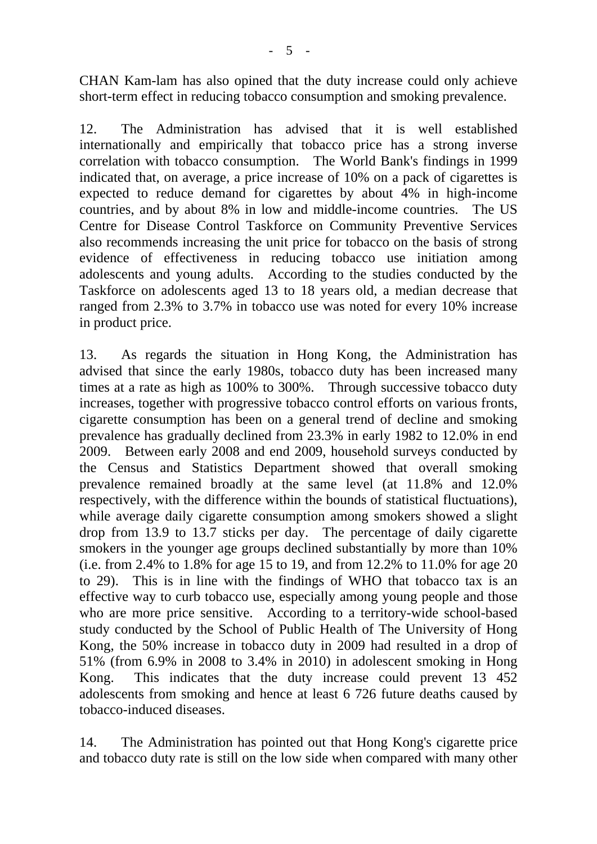CHAN Kam-lam has also opined that the duty increase could only achieve short-term effect in reducing tobacco consumption and smoking prevalence.

12. The Administration has advised that it is well established internationally and empirically that tobacco price has a strong inverse correlation with tobacco consumption. The World Bank's findings in 1999 indicated that, on average, a price increase of 10% on a pack of cigarettes is expected to reduce demand for cigarettes by about 4% in high-income countries, and by about 8% in low and middle-income countries. The US Centre for Disease Control Taskforce on Community Preventive Services also recommends increasing the unit price for tobacco on the basis of strong evidence of effectiveness in reducing tobacco use initiation among adolescents and young adults. According to the studies conducted by the Taskforce on adolescents aged 13 to 18 years old, a median decrease that ranged from 2.3% to 3.7% in tobacco use was noted for every 10% increase in product price.

13. As regards the situation in Hong Kong, the Administration has advised that since the early 1980s, tobacco duty has been increased many times at a rate as high as 100% to 300%. Through successive tobacco duty increases, together with progressive tobacco control efforts on various fronts, cigarette consumption has been on a general trend of decline and smoking prevalence has gradually declined from 23.3% in early 1982 to 12.0% in end 2009. Between early 2008 and end 2009, household surveys conducted by the Census and Statistics Department showed that overall smoking prevalence remained broadly at the same level (at 11.8% and 12.0% respectively, with the difference within the bounds of statistical fluctuations), while average daily cigarette consumption among smokers showed a slight drop from 13.9 to 13.7 sticks per day. The percentage of daily cigarette smokers in the younger age groups declined substantially by more than 10% (i.e. from 2.4% to 1.8% for age 15 to 19, and from 12.2% to 11.0% for age 20 to 29). This is in line with the findings of WHO that tobacco tax is an effective way to curb tobacco use, especially among young people and those who are more price sensitive. According to a territory-wide school-based study conducted by the School of Public Health of The University of Hong Kong, the 50% increase in tobacco duty in 2009 had resulted in a drop of 51% (from 6.9% in 2008 to 3.4% in 2010) in adolescent smoking in Hong Kong. This indicates that the duty increase could prevent 13 452 adolescents from smoking and hence at least 6 726 future deaths caused by tobacco-induced diseases.

14. The Administration has pointed out that Hong Kong's cigarette price and tobacco duty rate is still on the low side when compared with many other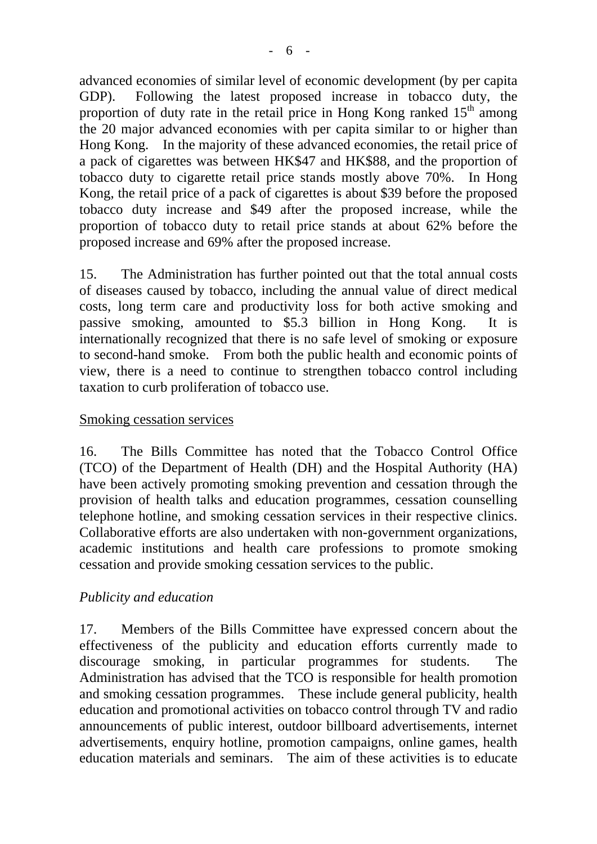advanced economies of similar level of economic development (by per capita GDP). Following the latest proposed increase in tobacco duty, the proportion of duty rate in the retail price in Hong Kong ranked  $15<sup>th</sup>$  among the 20 major advanced economies with per capita similar to or higher than

Hong Kong. In the majority of these advanced economies, the retail price of a pack of cigarettes was between HK\$47 and HK\$88, and the proportion of tobacco duty to cigarette retail price stands mostly above 70%. In Hong Kong, the retail price of a pack of cigarettes is about \$39 before the proposed tobacco duty increase and \$49 after the proposed increase, while the proportion of tobacco duty to retail price stands at about 62% before the proposed increase and 69% after the proposed increase.

15. The Administration has further pointed out that the total annual costs of diseases caused by tobacco, including the annual value of direct medical costs, long term care and productivity loss for both active smoking and passive smoking, amounted to \$5.3 billion in Hong Kong. It is internationally recognized that there is no safe level of smoking or exposure to second-hand smoke. From both the public health and economic points of view, there is a need to continue to strengthen tobacco control including taxation to curb proliferation of tobacco use.

### Smoking cessation services

16. The Bills Committee has noted that the Tobacco Control Office (TCO) of the Department of Health (DH) and the Hospital Authority (HA) have been actively promoting smoking prevention and cessation through the provision of health talks and education programmes, cessation counselling telephone hotline, and smoking cessation services in their respective clinics. Collaborative efforts are also undertaken with non-government organizations, academic institutions and health care professions to promote smoking cessation and provide smoking cessation services to the public.

#### *Publicity and education*

17. Members of the Bills Committee have expressed concern about the effectiveness of the publicity and education efforts currently made to discourage smoking, in particular programmes for students. The Administration has advised that the TCO is responsible for health promotion and smoking cessation programmes. These include general publicity, health education and promotional activities on tobacco control through TV and radio announcements of public interest, outdoor billboard advertisements, internet advertisements, enquiry hotline, promotion campaigns, online games, health education materials and seminars. The aim of these activities is to educate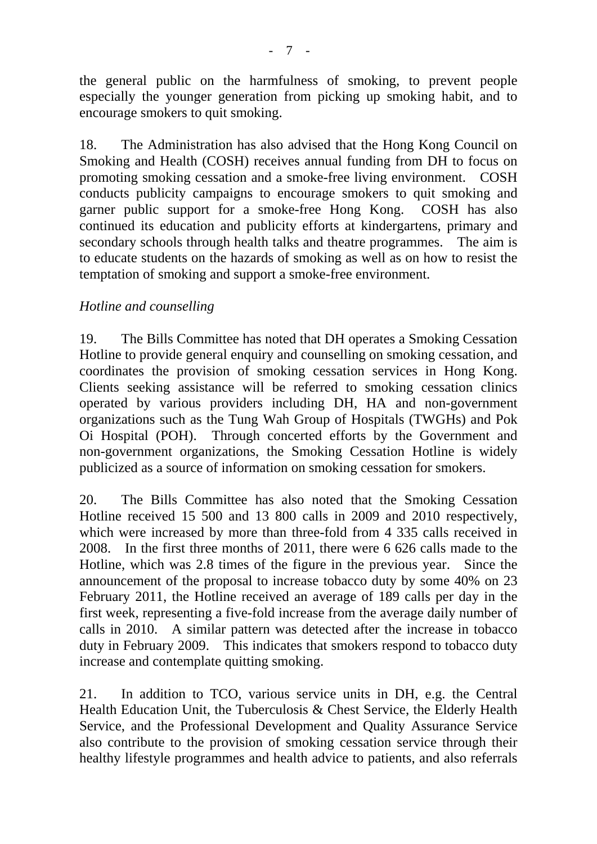the general public on the harmfulness of smoking, to prevent people especially the younger generation from picking up smoking habit, and to encourage smokers to quit smoking.

18. The Administration has also advised that the Hong Kong Council on Smoking and Health (COSH) receives annual funding from DH to focus on promoting smoking cessation and a smoke-free living environment. COSH conducts publicity campaigns to encourage smokers to quit smoking and garner public support for a smoke-free Hong Kong. COSH has also continued its education and publicity efforts at kindergartens, primary and secondary schools through health talks and theatre programmes. The aim is to educate students on the hazards of smoking as well as on how to resist the temptation of smoking and support a smoke-free environment.

# *Hotline and counselling*

19. The Bills Committee has noted that DH operates a Smoking Cessation Hotline to provide general enquiry and counselling on smoking cessation, and coordinates the provision of smoking cessation services in Hong Kong. Clients seeking assistance will be referred to smoking cessation clinics operated by various providers including DH, HA and non-government organizations such as the Tung Wah Group of Hospitals (TWGHs) and Pok Oi Hospital (POH). Through concerted efforts by the Government and non-government organizations, the Smoking Cessation Hotline is widely publicized as a source of information on smoking cessation for smokers.

20. The Bills Committee has also noted that the Smoking Cessation Hotline received 15 500 and 13 800 calls in 2009 and 2010 respectively, which were increased by more than three-fold from 4 335 calls received in 2008. In the first three months of 2011, there were 6 626 calls made to the Hotline, which was 2.8 times of the figure in the previous year. Since the announcement of the proposal to increase tobacco duty by some 40% on 23 February 2011, the Hotline received an average of 189 calls per day in the first week, representing a five-fold increase from the average daily number of calls in 2010. A similar pattern was detected after the increase in tobacco duty in February 2009. This indicates that smokers respond to tobacco duty increase and contemplate quitting smoking.

21. In addition to TCO, various service units in DH, e.g. the Central Health Education Unit, the Tuberculosis & Chest Service, the Elderly Health Service, and the Professional Development and Quality Assurance Service also contribute to the provision of smoking cessation service through their healthy lifestyle programmes and health advice to patients, and also referrals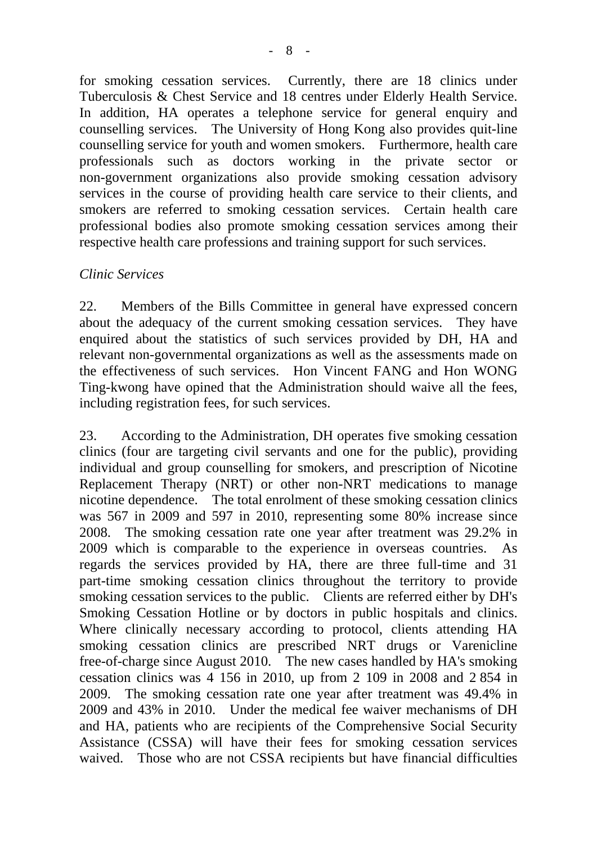for smoking cessation services. Currently, there are 18 clinics under Tuberculosis & Chest Service and 18 centres under Elderly Health Service. In addition, HA operates a telephone service for general enquiry and counselling services. The University of Hong Kong also provides quit-line counselling service for youth and women smokers. Furthermore, health care professionals such as doctors working in the private sector or non-government organizations also provide smoking cessation advisory services in the course of providing health care service to their clients, and smokers are referred to smoking cessation services. Certain health care professional bodies also promote smoking cessation services among their respective health care professions and training support for such services.

#### *Clinic Services*

22. Members of the Bills Committee in general have expressed concern about the adequacy of the current smoking cessation services. They have enquired about the statistics of such services provided by DH, HA and relevant non-governmental organizations as well as the assessments made on the effectiveness of such services. Hon Vincent FANG and Hon WONG Ting-kwong have opined that the Administration should waive all the fees, including registration fees, for such services.

23. According to the Administration, DH operates five smoking cessation clinics (four are targeting civil servants and one for the public), providing individual and group counselling for smokers, and prescription of Nicotine Replacement Therapy (NRT) or other non-NRT medications to manage nicotine dependence. The total enrolment of these smoking cessation clinics was 567 in 2009 and 597 in 2010, representing some 80% increase since 2008. The smoking cessation rate one year after treatment was 29.2% in 2009 which is comparable to the experience in overseas countries. As regards the services provided by HA, there are three full-time and 31 part-time smoking cessation clinics throughout the territory to provide smoking cessation services to the public. Clients are referred either by DH's Smoking Cessation Hotline or by doctors in public hospitals and clinics. Where clinically necessary according to protocol, clients attending HA smoking cessation clinics are prescribed NRT drugs or Varenicline free-of-charge since August 2010. The new cases handled by HA's smoking cessation clinics was 4 156 in 2010, up from 2 109 in 2008 and 2 854 in 2009. The smoking cessation rate one year after treatment was 49.4% in 2009 and 43% in 2010. Under the medical fee waiver mechanisms of DH and HA, patients who are recipients of the Comprehensive Social Security Assistance (CSSA) will have their fees for smoking cessation services waived. Those who are not CSSA recipients but have financial difficulties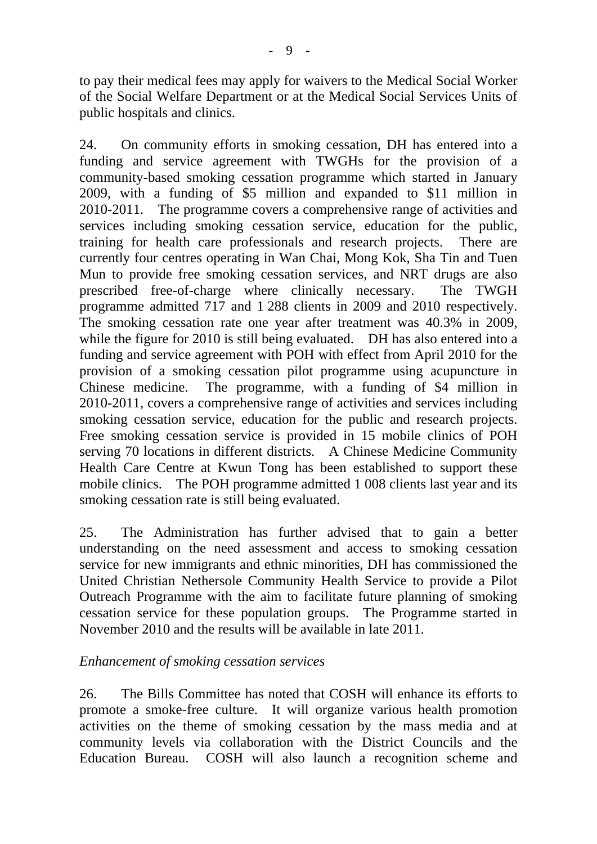to pay their medical fees may apply for waivers to the Medical Social Worker of the Social Welfare Department or at the Medical Social Services Units of public hospitals and clinics.

24. On community efforts in smoking cessation, DH has entered into a funding and service agreement with TWGHs for the provision of a community-based smoking cessation programme which started in January 2009, with a funding of \$5 million and expanded to \$11 million in 2010-2011. The programme covers a comprehensive range of activities and services including smoking cessation service, education for the public, training for health care professionals and research projects. There are currently four centres operating in Wan Chai, Mong Kok, Sha Tin and Tuen Mun to provide free smoking cessation services, and NRT drugs are also prescribed free-of-charge where clinically necessary. The TWGH programme admitted 717 and 1 288 clients in 2009 and 2010 respectively. The smoking cessation rate one year after treatment was 40.3% in 2009, while the figure for 2010 is still being evaluated. DH has also entered into a funding and service agreement with POH with effect from April 2010 for the provision of a smoking cessation pilot programme using acupuncture in Chinese medicine. The programme, with a funding of \$4 million in 2010-2011, covers a comprehensive range of activities and services including smoking cessation service, education for the public and research projects. Free smoking cessation service is provided in 15 mobile clinics of POH serving 70 locations in different districts. A Chinese Medicine Community Health Care Centre at Kwun Tong has been established to support these mobile clinics. The POH programme admitted 1 008 clients last year and its smoking cessation rate is still being evaluated.

25. The Administration has further advised that to gain a better understanding on the need assessment and access to smoking cessation service for new immigrants and ethnic minorities, DH has commissioned the United Christian Nethersole Community Health Service to provide a Pilot Outreach Programme with the aim to facilitate future planning of smoking cessation service for these population groups. The Programme started in November 2010 and the results will be available in late 2011.

#### *Enhancement of smoking cessation services*

26. The Bills Committee has noted that COSH will enhance its efforts to promote a smoke-free culture. It will organize various health promotion activities on the theme of smoking cessation by the mass media and at community levels via collaboration with the District Councils and the Education Bureau. COSH will also launch a recognition scheme and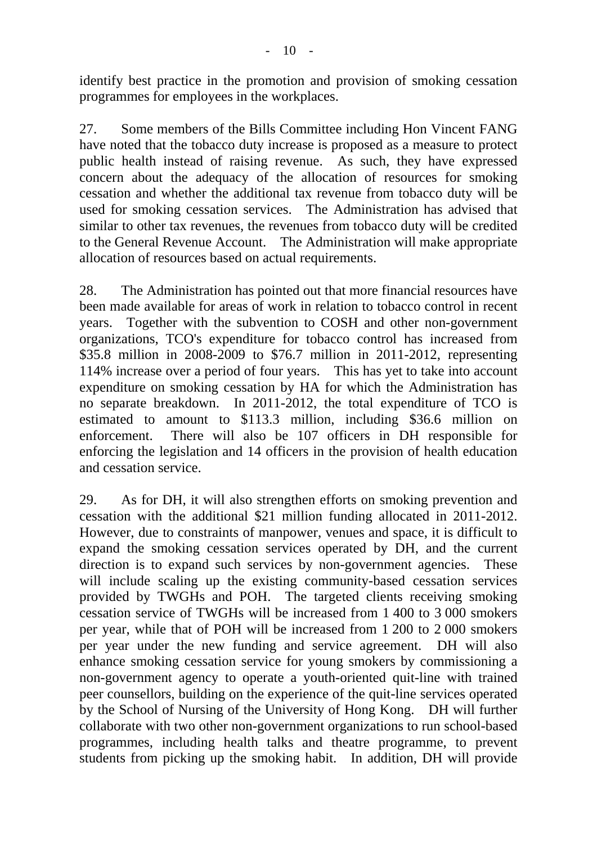identify best practice in the promotion and provision of smoking cessation programmes for employees in the workplaces.

27. Some members of the Bills Committee including Hon Vincent FANG have noted that the tobacco duty increase is proposed as a measure to protect public health instead of raising revenue. As such, they have expressed concern about the adequacy of the allocation of resources for smoking cessation and whether the additional tax revenue from tobacco duty will be used for smoking cessation services. The Administration has advised that similar to other tax revenues, the revenues from tobacco duty will be credited to the General Revenue Account. The Administration will make appropriate allocation of resources based on actual requirements.

28. The Administration has pointed out that more financial resources have been made available for areas of work in relation to tobacco control in recent years. Together with the subvention to COSH and other non-government organizations, TCO's expenditure for tobacco control has increased from \$35.8 million in 2008-2009 to \$76.7 million in 2011-2012, representing 114% increase over a period of four years. This has yet to take into account expenditure on smoking cessation by HA for which the Administration has no separate breakdown. In 2011-2012, the total expenditure of TCO is estimated to amount to \$113.3 million, including \$36.6 million on enforcement. There will also be 107 officers in DH responsible for enforcing the legislation and 14 officers in the provision of health education and cessation service.

29. As for DH, it will also strengthen efforts on smoking prevention and cessation with the additional \$21 million funding allocated in 2011-2012. However, due to constraints of manpower, venues and space, it is difficult to expand the smoking cessation services operated by DH, and the current direction is to expand such services by non-government agencies. These will include scaling up the existing community-based cessation services provided by TWGHs and POH. The targeted clients receiving smoking cessation service of TWGHs will be increased from 1 400 to 3 000 smokers per year, while that of POH will be increased from 1 200 to 2 000 smokers per year under the new funding and service agreement. DH will also enhance smoking cessation service for young smokers by commissioning a non-government agency to operate a youth-oriented quit-line with trained peer counsellors, building on the experience of the quit-line services operated by the School of Nursing of the University of Hong Kong. DH will further collaborate with two other non-government organizations to run school-based programmes, including health talks and theatre programme, to prevent students from picking up the smoking habit. In addition, DH will provide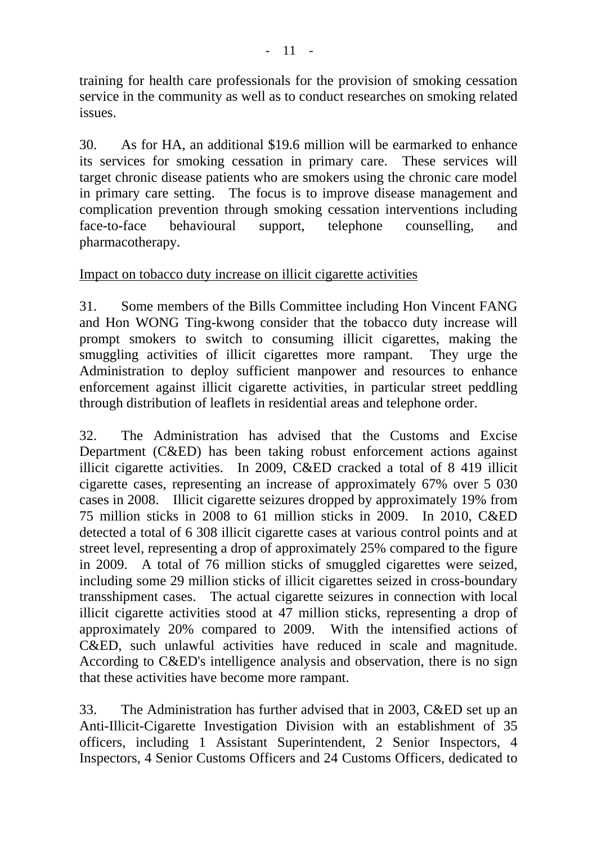training for health care professionals for the provision of smoking cessation service in the community as well as to conduct researches on smoking related issues.

30. As for HA, an additional \$19.6 million will be earmarked to enhance its services for smoking cessation in primary care. These services will target chronic disease patients who are smokers using the chronic care model in primary care setting. The focus is to improve disease management and complication prevention through smoking cessation interventions including face-to-face behavioural support, telephone counselling, and pharmacotherapy.

# Impact on tobacco duty increase on illicit cigarette activities

31. Some members of the Bills Committee including Hon Vincent FANG and Hon WONG Ting-kwong consider that the tobacco duty increase will prompt smokers to switch to consuming illicit cigarettes, making the smuggling activities of illicit cigarettes more rampant. They urge the Administration to deploy sufficient manpower and resources to enhance enforcement against illicit cigarette activities, in particular street peddling through distribution of leaflets in residential areas and telephone order.

32. The Administration has advised that the Customs and Excise Department (C&ED) has been taking robust enforcement actions against illicit cigarette activities. In 2009, C&ED cracked a total of 8 419 illicit cigarette cases, representing an increase of approximately 67% over 5 030 cases in 2008. Illicit cigarette seizures dropped by approximately 19% from 75 million sticks in 2008 to 61 million sticks in 2009. In 2010, C&ED detected a total of 6 308 illicit cigarette cases at various control points and at street level, representing a drop of approximately 25% compared to the figure in 2009. A total of 76 million sticks of smuggled cigarettes were seized, including some 29 million sticks of illicit cigarettes seized in cross-boundary transshipment cases. The actual cigarette seizures in connection with local illicit cigarette activities stood at 47 million sticks, representing a drop of approximately 20% compared to 2009. With the intensified actions of C&ED, such unlawful activities have reduced in scale and magnitude. According to C&ED's intelligence analysis and observation, there is no sign that these activities have become more rampant.

33. The Administration has further advised that in 2003, C&ED set up an Anti-Illicit-Cigarette Investigation Division with an establishment of 35 officers, including 1 Assistant Superintendent, 2 Senior Inspectors, 4 Inspectors, 4 Senior Customs Officers and 24 Customs Officers, dedicated to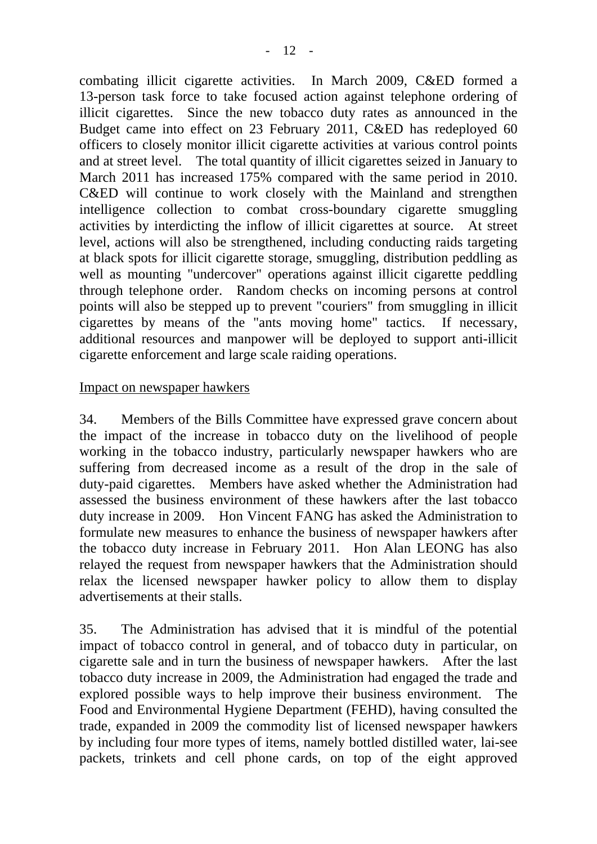combating illicit cigarette activities. In March 2009, C&ED formed a 13-person task force to take focused action against telephone ordering of illicit cigarettes. Since the new tobacco duty rates as announced in the Budget came into effect on 23 February 2011, C&ED has redeployed 60 officers to closely monitor illicit cigarette activities at various control points and at street level. The total quantity of illicit cigarettes seized in January to March 2011 has increased 175% compared with the same period in 2010. C&ED will continue to work closely with the Mainland and strengthen intelligence collection to combat cross-boundary cigarette smuggling activities by interdicting the inflow of illicit cigarettes at source. At street level, actions will also be strengthened, including conducting raids targeting at black spots for illicit cigarette storage, smuggling, distribution peddling as well as mounting "undercover" operations against illicit cigarette peddling through telephone order. Random checks on incoming persons at control points will also be stepped up to prevent "couriers" from smuggling in illicit cigarettes by means of the "ants moving home" tactics. If necessary, additional resources and manpower will be deployed to support anti-illicit cigarette enforcement and large scale raiding operations.

#### Impact on newspaper hawkers

34. Members of the Bills Committee have expressed grave concern about the impact of the increase in tobacco duty on the livelihood of people working in the tobacco industry, particularly newspaper hawkers who are suffering from decreased income as a result of the drop in the sale of duty-paid cigarettes. Members have asked whether the Administration had assessed the business environment of these hawkers after the last tobacco duty increase in 2009. Hon Vincent FANG has asked the Administration to formulate new measures to enhance the business of newspaper hawkers after the tobacco duty increase in February 2011. Hon Alan LEONG has also relayed the request from newspaper hawkers that the Administration should relax the licensed newspaper hawker policy to allow them to display advertisements at their stalls.

35. The Administration has advised that it is mindful of the potential impact of tobacco control in general, and of tobacco duty in particular, on cigarette sale and in turn the business of newspaper hawkers. After the last tobacco duty increase in 2009, the Administration had engaged the trade and explored possible ways to help improve their business environment. The Food and Environmental Hygiene Department (FEHD), having consulted the trade, expanded in 2009 the commodity list of licensed newspaper hawkers by including four more types of items, namely bottled distilled water, lai-see packets, trinkets and cell phone cards, on top of the eight approved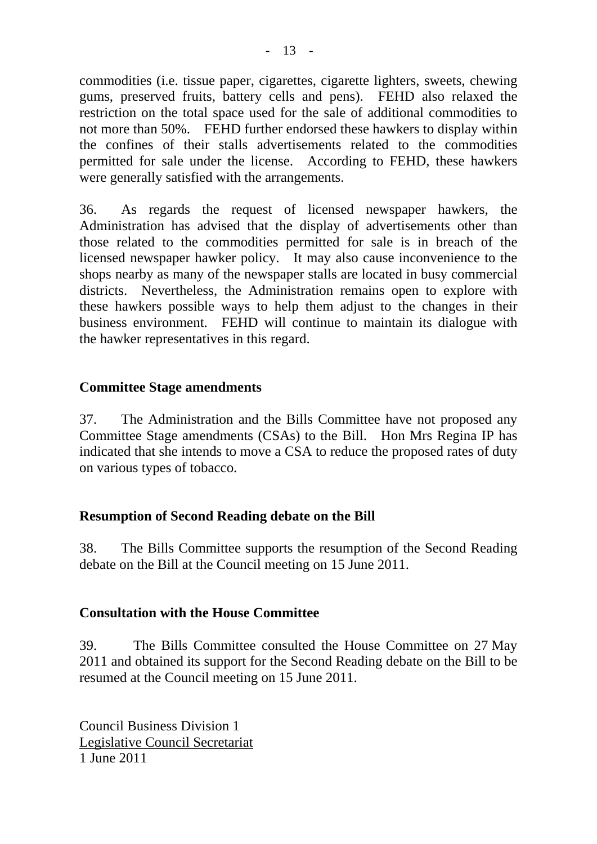commodities (i.e. tissue paper, cigarettes, cigarette lighters, sweets, chewing gums, preserved fruits, battery cells and pens). FEHD also relaxed the restriction on the total space used for the sale of additional commodities to not more than 50%. FEHD further endorsed these hawkers to display within the confines of their stalls advertisements related to the commodities permitted for sale under the license. According to FEHD, these hawkers were generally satisfied with the arrangements.

36. As regards the request of licensed newspaper hawkers, the Administration has advised that the display of advertisements other than those related to the commodities permitted for sale is in breach of the licensed newspaper hawker policy. It may also cause inconvenience to the shops nearby as many of the newspaper stalls are located in busy commercial districts.Nevertheless, the Administration remains open to explore with these hawkers possible ways to help them adjust to the changes in their business environment. FEHD will continue to maintain its dialogue with the hawker representatives in this regard.

# **Committee Stage amendments**

37. The Administration and the Bills Committee have not proposed any Committee Stage amendments (CSAs) to the Bill. Hon Mrs Regina IP has indicated that she intends to move a CSA to reduce the proposed rates of duty on various types of tobacco.

#### **Resumption of Second Reading debate on the Bill**

38. The Bills Committee supports the resumption of the Second Reading debate on the Bill at the Council meeting on 15 June 2011.

#### **Consultation with the House Committee**

39. The Bills Committee consulted the House Committee on 27 May 2011 and obtained its support for the Second Reading debate on the Bill to be resumed at the Council meeting on 15 June 2011.

Council Business Division 1 Legislative Council Secretariat 1 June 2011